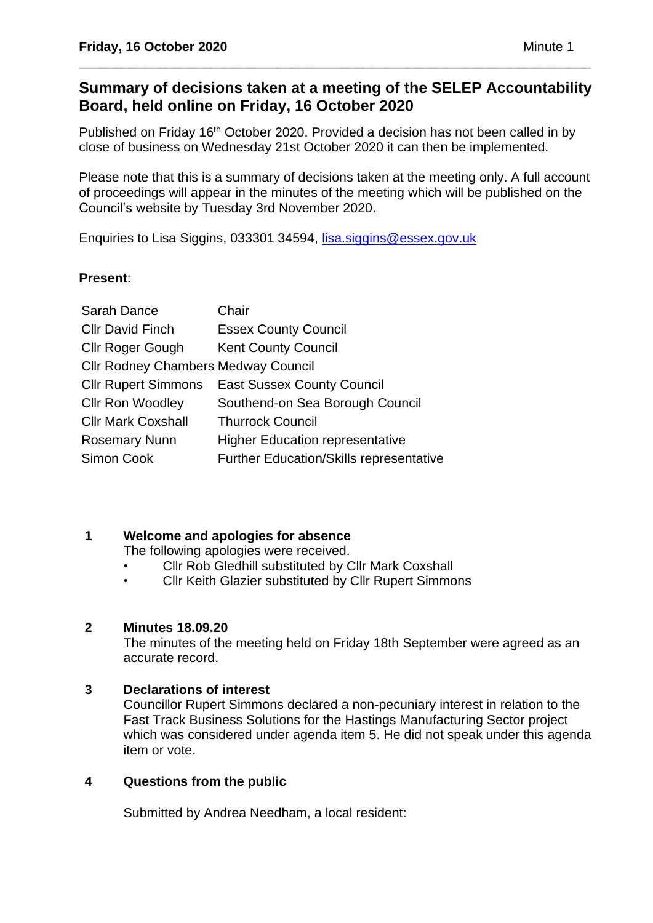# **Summary of decisions taken at a meeting of the SELEP Accountability Board, held online on Friday, 16 October 2020**

\_\_\_\_\_\_\_\_\_\_\_\_\_\_\_\_\_\_\_\_\_\_\_\_\_\_\_\_\_\_\_\_\_\_\_\_\_\_\_\_\_\_\_\_\_\_\_\_\_\_\_\_\_\_\_\_\_\_\_\_\_\_\_\_\_\_\_\_\_\_

Published on Friday 16<sup>th</sup> October 2020. Provided a decision has not been called in by close of business on Wednesday 21st October 2020 it can then be implemented.

Please note that this is a summary of decisions taken at the meeting only. A full account of proceedings will appear in the minutes of the meeting which will be published on the Council's website by Tuesday 3rd November 2020.

Enquiries to Lisa Siggins, 033301 34594, [lisa.siggins@essex.gov.uk](mailto:lisa.siggins@essex.gov.uk)

# **Present**:

| Sarah Dance                                | Chair                                          |
|--------------------------------------------|------------------------------------------------|
| <b>CIIr David Finch</b>                    | <b>Essex County Council</b>                    |
| <b>Cllr Roger Gough</b>                    | <b>Kent County Council</b>                     |
| <b>Cllr Rodney Chambers Medway Council</b> |                                                |
| <b>Cllr Rupert Simmons</b>                 | <b>East Sussex County Council</b>              |
| <b>Cllr Ron Woodley</b>                    | Southend-on Sea Borough Council                |
| <b>Cllr Mark Coxshall</b>                  | <b>Thurrock Council</b>                        |
| <b>Rosemary Nunn</b>                       | <b>Higher Education representative</b>         |
| Simon Cook                                 | <b>Further Education/Skills representative</b> |

# **1 Welcome and apologies for absence**

The following apologies were received.

- Cllr Rob Gledhill substituted by Cllr Mark Coxshall
- Cllr Keith Glazier substituted by Cllr Rupert Simmons

### **2 Minutes 18.09.20**

The minutes of the meeting held on Friday 18th September were agreed as an accurate record.

# **3 Declarations of interest**

Councillor Rupert Simmons declared a non-pecuniary interest in relation to the Fast Track Business Solutions for the Hastings Manufacturing Sector project which was considered under agenda item 5. He did not speak under this agenda item or vote.

# **4 Questions from the public**

Submitted by Andrea Needham, a local resident: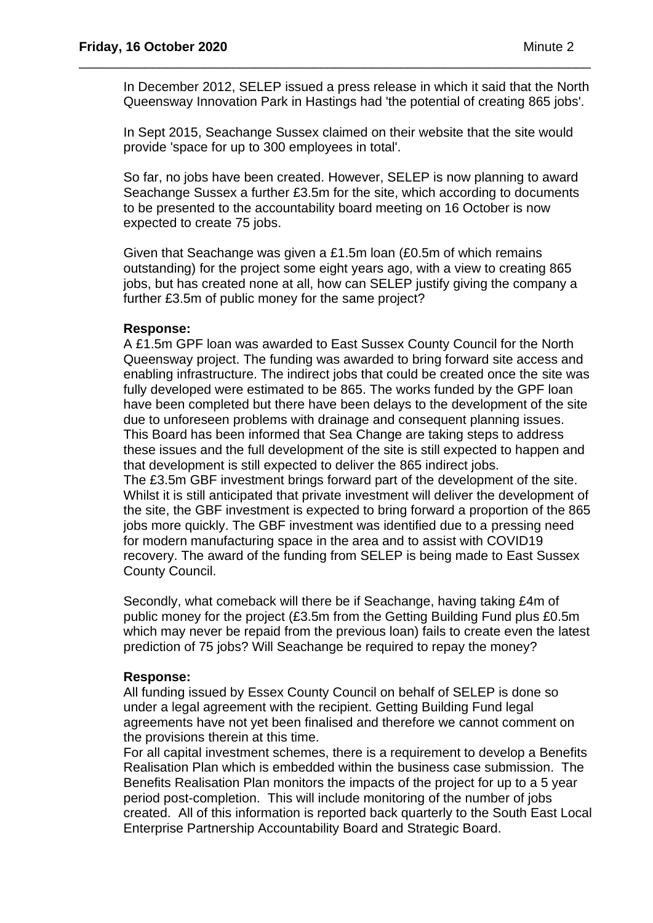In December 2012, SELEP issued a press release in which it said that the North Queensway Innovation Park in Hastings had 'the potential of creating 865 jobs'.

\_\_\_\_\_\_\_\_\_\_\_\_\_\_\_\_\_\_\_\_\_\_\_\_\_\_\_\_\_\_\_\_\_\_\_\_\_\_\_\_\_\_\_\_\_\_\_\_\_\_\_\_\_\_\_\_\_\_\_\_\_\_\_\_\_\_\_\_\_\_

In Sept 2015, Seachange Sussex claimed on their website that the site would provide 'space for up to 300 employees in total'.

So far, no jobs have been created. However, SELEP is now planning to award Seachange Sussex a further £3.5m for the site, which according to documents to be presented to the accountability board meeting on 16 October is now expected to create 75 jobs.

Given that Seachange was given a £1.5m loan (£0.5m of which remains outstanding) for the project some eight years ago, with a view to creating 865 jobs, but has created none at all, how can SELEP justify giving the company a further £3.5m of public money for the same project?

#### **Response:**

A £1.5m GPF loan was awarded to East Sussex County Council for the North Queensway project. The funding was awarded to bring forward site access and enabling infrastructure. The indirect jobs that could be created once the site was fully developed were estimated to be 865. The works funded by the GPF loan have been completed but there have been delays to the development of the site due to unforeseen problems with drainage and consequent planning issues. This Board has been informed that Sea Change are taking steps to address these issues and the full development of the site is still expected to happen and that development is still expected to deliver the 865 indirect jobs. The £3.5m GBF investment brings forward part of the development of the site. Whilst it is still anticipated that private investment will deliver the development of the site, the GBF investment is expected to bring forward a proportion of the 865 jobs more quickly. The GBF investment was identified due to a pressing need for modern manufacturing space in the area and to assist with COVID19 recovery. The award of the funding from SELEP is being made to East Sussex

County Council.

Secondly, what comeback will there be if Seachange, having taking £4m of public money for the project (£3.5m from the Getting Building Fund plus £0.5m which may never be repaid from the previous loan) fails to create even the latest prediction of 75 jobs? Will Seachange be required to repay the money?

#### **Response:**

All funding issued by Essex County Council on behalf of SELEP is done so under a legal agreement with the recipient. Getting Building Fund legal agreements have not yet been finalised and therefore we cannot comment on the provisions therein at this time.

For all capital investment schemes, there is a requirement to develop a Benefits Realisation Plan which is embedded within the business case submission. The Benefits Realisation Plan monitors the impacts of the project for up to a 5 year period post-completion. This will include monitoring of the number of jobs created. All of this information is reported back quarterly to the South East Local Enterprise Partnership Accountability Board and Strategic Board.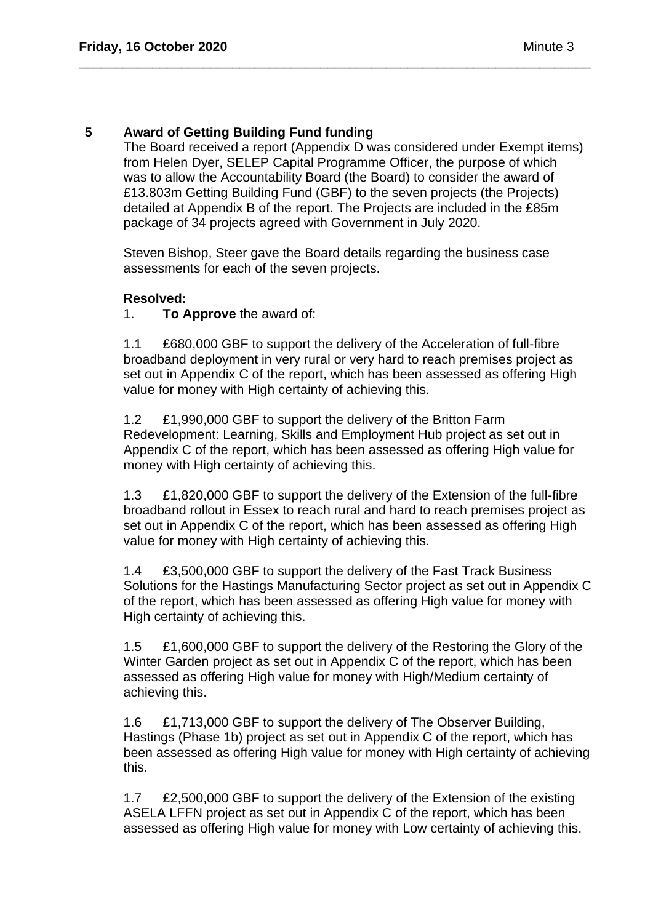# **5 Award of Getting Building Fund funding**

The Board received a report (Appendix D was considered under Exempt items) from Helen Dyer, SELEP Capital Programme Officer, the purpose of which was to allow the Accountability Board (the Board) to consider the award of £13.803m Getting Building Fund (GBF) to the seven projects (the Projects) detailed at Appendix B of the report. The Projects are included in the £85m package of 34 projects agreed with Government in July 2020.

Steven Bishop, Steer gave the Board details regarding the business case assessments for each of the seven projects.

\_\_\_\_\_\_\_\_\_\_\_\_\_\_\_\_\_\_\_\_\_\_\_\_\_\_\_\_\_\_\_\_\_\_\_\_\_\_\_\_\_\_\_\_\_\_\_\_\_\_\_\_\_\_\_\_\_\_\_\_\_\_\_\_\_\_\_\_\_\_

### **Resolved:**

1. **To Approve** the award of:

1.1 £680,000 GBF to support the delivery of the Acceleration of full-fibre broadband deployment in very rural or very hard to reach premises project as set out in Appendix C of the report, which has been assessed as offering High value for money with High certainty of achieving this.

1.2 £1,990,000 GBF to support the delivery of the Britton Farm Redevelopment: Learning, Skills and Employment Hub project as set out in Appendix C of the report, which has been assessed as offering High value for money with High certainty of achieving this.

1.3 £1,820,000 GBF to support the delivery of the Extension of the full-fibre broadband rollout in Essex to reach rural and hard to reach premises project as set out in Appendix C of the report, which has been assessed as offering High value for money with High certainty of achieving this.

1.4 £3,500,000 GBF to support the delivery of the Fast Track Business Solutions for the Hastings Manufacturing Sector project as set out in Appendix C of the report, which has been assessed as offering High value for money with High certainty of achieving this.

1.5 £1,600,000 GBF to support the delivery of the Restoring the Glory of the Winter Garden project as set out in Appendix C of the report, which has been assessed as offering High value for money with High/Medium certainty of achieving this.

1.6 £1,713,000 GBF to support the delivery of The Observer Building, Hastings (Phase 1b) project as set out in Appendix C of the report, which has been assessed as offering High value for money with High certainty of achieving this.

1.7 £2,500,000 GBF to support the delivery of the Extension of the existing ASELA LFFN project as set out in Appendix C of the report, which has been assessed as offering High value for money with Low certainty of achieving this.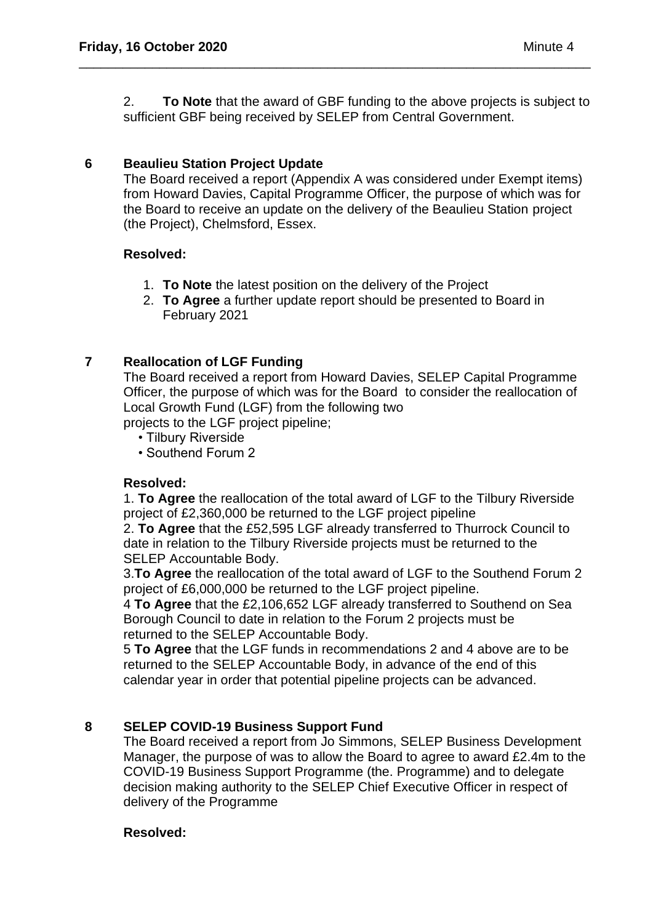2. **To Note** that the award of GBF funding to the above projects is subject to sufficient GBF being received by SELEP from Central Government.

\_\_\_\_\_\_\_\_\_\_\_\_\_\_\_\_\_\_\_\_\_\_\_\_\_\_\_\_\_\_\_\_\_\_\_\_\_\_\_\_\_\_\_\_\_\_\_\_\_\_\_\_\_\_\_\_\_\_\_\_\_\_\_\_\_\_\_\_\_\_

### **6 Beaulieu Station Project Update**

The Board received a report (Appendix A was considered under Exempt items) from Howard Davies, Capital Programme Officer, the purpose of which was for the Board to receive an update on the delivery of the Beaulieu Station project (the Project), Chelmsford, Essex.

### **Resolved:**

- 1. **To Note** the latest position on the delivery of the Project
- 2. **To Agree** a further update report should be presented to Board in February 2021

### **7 Reallocation of LGF Funding**

The Board received a report from Howard Davies, SELEP Capital Programme Officer, the purpose of which was for the Board to consider the reallocation of Local Growth Fund (LGF) from the following two

projects to the LGF project pipeline;

- Tilbury Riverside
- Southend Forum 2

### **Resolved:**

1. **To Agree** the reallocation of the total award of LGF to the Tilbury Riverside project of £2,360,000 be returned to the LGF project pipeline

2. **To Agree** that the £52,595 LGF already transferred to Thurrock Council to date in relation to the Tilbury Riverside projects must be returned to the SELEP Accountable Body.

3.**To Agree** the reallocation of the total award of LGF to the Southend Forum 2 project of £6,000,000 be returned to the LGF project pipeline.

4 **To Agree** that the £2,106,652 LGF already transferred to Southend on Sea Borough Council to date in relation to the Forum 2 projects must be returned to the SELEP Accountable Body.

5 **To Agree** that the LGF funds in recommendations 2 and 4 above are to be returned to the SELEP Accountable Body, in advance of the end of this calendar year in order that potential pipeline projects can be advanced.

### **8 SELEP COVID-19 Business Support Fund**

The Board received a report from Jo Simmons, SELEP Business Development Manager, the purpose of was to allow the Board to agree to award £2.4m to the COVID-19 Business Support Programme (the. Programme) and to delegate decision making authority to the SELEP Chief Executive Officer in respect of delivery of the Programme

#### **Resolved:**